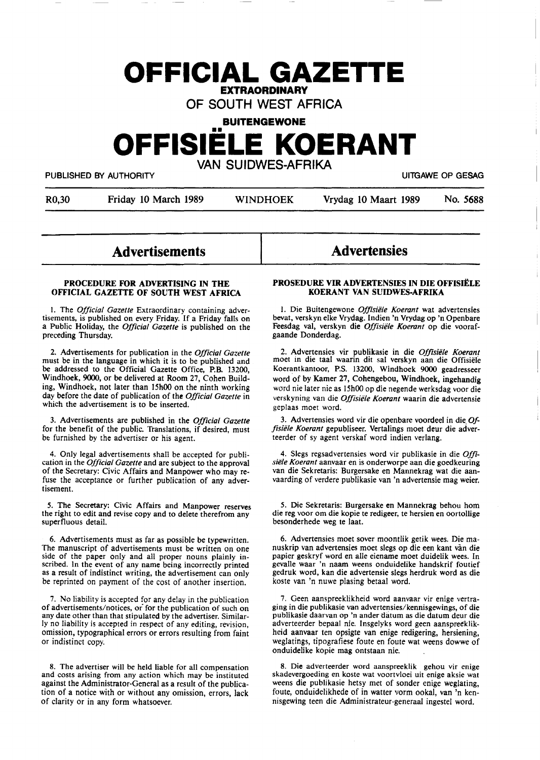# **OFFICIAL GAZETTE EXTRAORDINARY**

OF SOUTH WEST AFRICA

# **BUITENGEWONE OFFISIELE KOERANT**  VAN SUIDWES-AFRIKA

PUBLISHED BY AUTHORITY **The State of the State of State Contract Contract Contract Contract Contract Contract Contract Contract Contract Contract Contract Contract Contract Contract Contract Contract Contract Contract Cont** 

R0,30 Friday 10 March 1989 WINDHOEK Vrydag 10 Maart 1989 No. 5688

### **Advertisements**

#### **PROCEDURE FOR ADVERTISING IN THE OFFICIAL GAZETTE OF SOUTH WEST AFRICA**

I. The *Official Gazette* Extraordinary containing advertisements, is published on every Friday. If a Friday falls on a Public Holiday, the *Official Gazette* is published on the preceding Thursday.

2. Advertisements for publication in the *Official Gazette*  must be in the language in which it is to be published and be addressed to the Official Gazette Office, P.B. 13200, Windhoek, 9000, or be delivered at Room 27, Cohen Building, Windhoek, not later than 15h00 on the ninth working day before the date of publication of the *Official Gazette* in which the advertisement is to be inserted.

3. Advertisements are published in the *Official Gazette*  for the benefit of the public. Translations, if desired, must be furnished by the advertiser or his agent.

4. Only legal advertisements shall be accepted for publication in the *Official Gazette* and are subject to the approval of the Secretary: Civic Affairs and Manpower who may refuse the acceptance or further publication of any advertisement.

*5.* The Secretary: Civic Affairs and Manpower reserves the right to edit and revise copy and to delete therefrom any superfluous detail.

6. Advertisements must as far as possible be typewritten. side of the paper only and all proper nouns plainly inscribed. In the event **of** any name being incorrectly printed as a result of indistinct writing, the advertisement can only be reprinted on payment of the cost of another insertion.

7. No liability is accepted for any delay in the publication of advertisements/notices, or for the publication of such on any date other than that stipulated by the advertiser. Similarly no liability is accepted in respect of any editing, revision, omission, typographical errors or errors resulting from faint or indistinct copy.

**8.** The advertiser **will** be held liable for all compensation and costs arising from any action which may be instituted against the Administrator-General as **a** result of the publication of a notice with or without any omission, errors, lack of clarity or in any form whatsoever.

## **Advertensies**

#### **PROSEDURE VIR ADVERTENSIES IN DIE OFFISIELE KOERANT VAN SUIDWES-AFRIKA**

I. Die Buitengewone *Offisiele Koerant* wat advertensies bevat, verskyn elke Vrydag. Indien 'n Vrydag op 'n Openbare Feesdag val, verskyn die *Offisiele Koerant* op die voorafgaande Donderdag.

2. Advertensies vir publikasie in **die** *Offisiele Koerant*  moet in die taal waarin dit sal verskyn aan die Offisiele Koerantkantoor, P.S. 13200, Windhoek 9000 geadresseer word of by Kamer 27, Cohengebou, Windhoek, ingehandig word nie later nie as 15h00 op die negende werksdag voor die verskyning van die *Offisiele Koerant* waarin die advertensie geplaas moet word.

3. Advertensies word vir die openbare voordeel in die\_ *Offisiele Koerant* gepubliseer. Vertalings moet deur die adverteerder of sy agent verskaf word indien verlang.

4. Slegs regsadvertensies word vir publikasie in die *Offisiele Koerant* aanvaar en is onderworpe aan die goedkeuring van die Sekretaris: Burgersake en Mannekrag wat die aanvaarding of verdere publikasie van 'n advertensie mag weier.

*5.* Die Sekretaris: Burgersake en Mannekrag behou horn die reg voor om die kopie te redigeer, te hersien en oortollige besonderhede weg te laat.

6. Advertensies moet sover moontlik getik wees. Die manuskrip van advertensies moet slegs op die een kant van die papier geskryf word en alle eiename moet duidelik wees. In gevalle waar 'n naam weens onduidelike handskrif foutief gedruk word, kan die advertensie slegs herdruk word as die koste van 'n nuwe plasing betaal word.

7. Geen aanspreeklikheid word aanvaar vir enige vertraging in **die** publikasie van advertensies/kennisgewings, of die publikasie daarvan op 'n anderdatum as die datum deur die adverteerder bepaal nie. Insgelyks word geen aanspreeklikheid aanvaar ten opsigte van enige redigering, hersiening, weglatings, tipografiese foute en foute wat weens dowwe of onduidelike kopie mag ontstaan nie.

8. Die adverteerder word aanspreeklik gehou vir enige skadevergoeding en koste wat voortvloei uit enige aksie wat weens die publikasie hetsy met of sonder enige weglating, foute, onduidelikhede of in watter vorm ookal, van 'n kennisgewing teen die Administrateur-generaal ingestel word.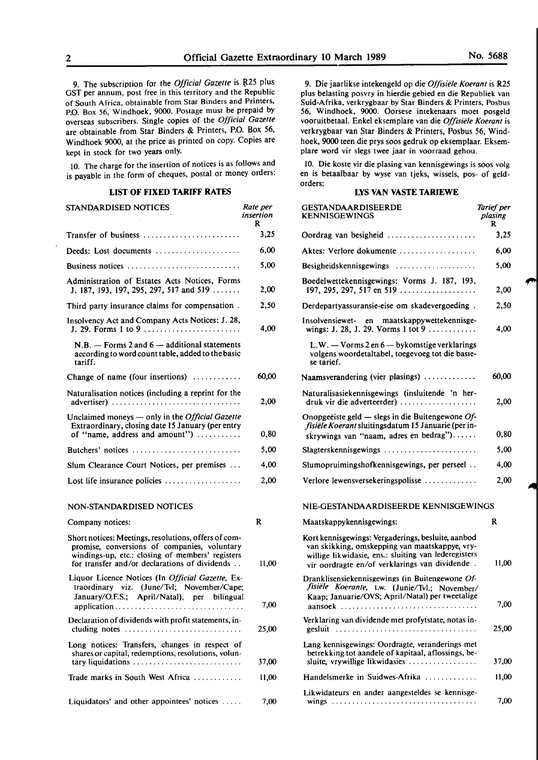9. The subscription for the *Official Gazette* is R25 plus GST per annum, post free in this territory and the Republic of South Africa, obtainable from Star Binders and Printers, P.O. Box 56, Windhoek, 9000. Postage must be prepaid by overseas subscribers. Single copies of the *Official Gazette*  are obtainable from Star Binders & Printers, P.O. Box 56, Windhoek 9000, at the price as printed on copy. Copies are kept in stock for two years only.

IO. The charge for the insertion of notices is as follows and is payable in the form of cheques, postal or money orders:

#### **LIST OF FIXED TARIFF RATES**

| STANDARDISED NOTICES                                                                                                                                                                                      | Rate per<br>insertion<br>R |
|-----------------------------------------------------------------------------------------------------------------------------------------------------------------------------------------------------------|----------------------------|
| Transfer of business                                                                                                                                                                                      | 3,25                       |
| Deeds: Lost documents                                                                                                                                                                                     | 6,00                       |
| Business notices                                                                                                                                                                                          | 5,00                       |
| Administration of Estates Acts Notices, Forms<br>J. 187, 193, 197, 295, 297, 517 and 519                                                                                                                  | 2,00                       |
| Third party insurance claims for compensation.                                                                                                                                                            | 2,50                       |
| Insolvency Act and Company Acts Notices: J. 28,<br>J. 29. Forms 1 to 9                                                                                                                                    | 4,00                       |
| $N.B. -$ Forms 2 and 6 $-$ additional statements<br>according to word count table, added to the basic<br>tariff.                                                                                          |                            |
| Change of name (four insertions)                                                                                                                                                                          | 60,00                      |
| Naturalisation notices (including a reprint for the<br>advertiser)                                                                                                                                        | 2,00                       |
| Unclaimed moneys — only in the Official Gazette<br>Extraordinary, closing date 15 January (per entry<br>of "name, address and amount")                                                                    | 0,80                       |
| Butchers' notices                                                                                                                                                                                         | 5,00                       |
| Slum Clearance Court Notices, per premises                                                                                                                                                                | 4.00                       |
| Lost life insurance policies $\dots\dots\dots\dots\dots\dots$                                                                                                                                             | 2,00                       |
| NON-STANDARDISED NOTICES                                                                                                                                                                                  |                            |
| Company notices:                                                                                                                                                                                          | R                          |
| Short notices: Meetings, resolutions, offers of com-<br>promise, conversions of companies, voluntary<br>windings-up, etc.: closing of members' registers<br>for transfer and/or declarations of dividends | 11,00                      |
| Liquor Licence Notices (In Official Gazette, Ex-<br>traordinary viz. (June/Tvl; November/Cape;<br>January/O.F.S.; April/Natal), per bilingual<br>application                                              | 7,00                       |

Declaration of dividends with profit statements, in-

Long notices: Transfers, changes in respect of shares or capital, redemptions, resolutions, volun-

cluding notes . . . . . . . . . . . . . . . . . . . . . . . . . . . . . 25,00

tary liquidations . . . . . . . . . . . . . . . . . . . . . . . . . . . 37,00 Trade marks in South West Africa . . . . . . . . . . . . 11,00

Liquidators' and other appointees' notices ..... 7,00

9. Die jaarlikse intekengeld op die *Offisiele Koerant* is R25 plus belasting posvry in hierdie gebied en die Republiek van Suid-Afrika, verkrygbaar by Star Binders & Printers, Posbus 56, Windhoek, 9000. Oorsese intekenaars moet posgeld vooruitbetaal. Enke! eksemplare van die *Offisie/e Koerant* is verkrygbaar van Star Binders & Printers, Posbus 56, Windhoek, 9000 teen die prys soos gedruk op eksemplaar. Eksemplare word vir slegs twee jaar in voorraad gehou.

10. Die koste vir die plasing van kennisgewings is soos volg en is betaalbaar by wyse van tjeks, wissels, pos- of geldorders:

#### **LYS VAN VASTE TARIEWE**

| GESTANDAARDISEERDE<br><b>KENNISGEWINGS</b>                                                                                                                                                                     | Tarief per<br>plasing<br>R |
|----------------------------------------------------------------------------------------------------------------------------------------------------------------------------------------------------------------|----------------------------|
| Oordrag van besigheid                                                                                                                                                                                          | 3,25                       |
| Aktes: Verlore dokumente                                                                                                                                                                                       | 6,00                       |
|                                                                                                                                                                                                                | 5,00                       |
| Boedelwettekennisgewings: Vorms J. 187, 193,<br>197, 295, 297, 517 en 519                                                                                                                                      | 2,00                       |
| Derdepartyassuransie-eise om skadevergoeding.                                                                                                                                                                  | 2,50                       |
| Insolvensiewet- en maatskappywettekennisge-<br>wings: J. 28, J. 29. Vorms 1 tot 9                                                                                                                              | 4,00                       |
| $L.W. - V \text{orms } 2 \text{ en } 6 - \text{bykomstige verklarings}$<br>volgens woordetaltabel, toegevoeg tot die basie-<br>se tarief.                                                                      |                            |
| Naamsverandering (vier plasings)                                                                                                                                                                               | 60,00                      |
| Naturalisasiekennisgewings (insluitende 'n her-<br>druk vir die adverteerder)                                                                                                                                  | 2,00                       |
| Onopgeëiste geld — slegs in die Buitengewone Of-<br>fisiële Koerant sluitingsdatum 15 Januarie (per in-<br>skrywings van "naam, adres en bedrag")                                                              | 0,80                       |
| $Slagterskenn isgewings \ldots \ldots \ldots \ldots \ldots \ldots \ldots$                                                                                                                                      | 5,00                       |
| Slumopruimingshofkennisgewings, per perseel                                                                                                                                                                    | 4,00                       |
| Verlore lewensversekeringspolisse                                                                                                                                                                              | 2,00                       |
| NIE-GESTANDAARDISEERDE KENNISGEWINGS                                                                                                                                                                           |                            |
| Maatskappykennisgewings:                                                                                                                                                                                       | R                          |
| Kort kennisgewings: Vergaderings, besluite, aanbod<br>van skikking, omskepping van maatskappye, vry-<br>willige likwidasie, ens.: sluiting van lederegisters<br>vir oordragte en/of verklarings van dividende. | 11,00                      |
| Dranklisensiekennisgewings (in Buitengewone Of-<br>fisiële Koerante, t.w. (Junie/Tvl.; November/<br>Kaap; Januarie/OVS; April/Natal) per tweetalige<br>aansoek                                                 | 7,00                       |
| Verklaring van dividende met profytstate, notas in-<br>gesluit                                                                                                                                                 | 25,00                      |
| Lang kennisgewings: Oordragte, veranderings met<br>betrekking tot aandele of kapitaal, aflossings, be-<br>sluite, vrywillige likwidasies                                                                       | 37.00                      |
| Handelsmerke in Suidwes-Afrika                                                                                                                                                                                 | 11,00                      |
| Likwidateurs en ander aangesteldes se kennisge-                                                                                                                                                                |                            |
|                                                                                                                                                                                                                | 7,00                       |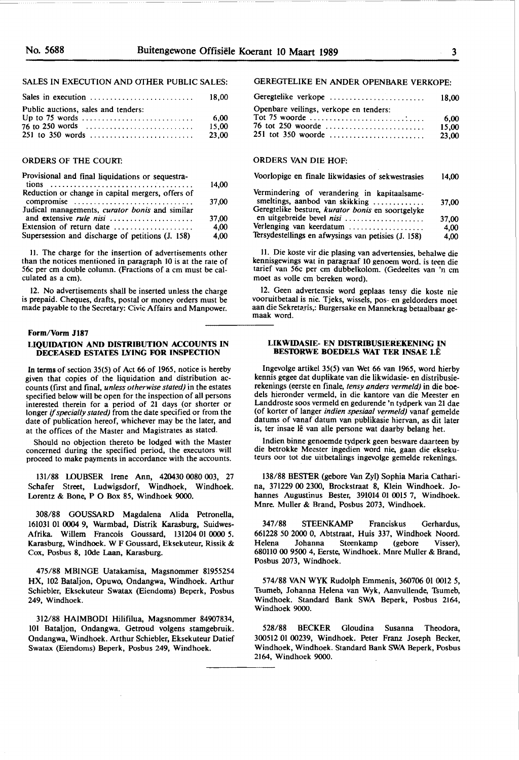#### SALES IN EXECUTION AND OTHER PUBLIC SALES:

| Sales in execution                  | 18.00 |
|-------------------------------------|-------|
| Public auctions, sales and tenders: |       |
|                                     | -6.00 |
|                                     | 15.00 |
|                                     | 23.00 |

#### ORDERS OF THE COURT:

| Provisional and final liquidations or sequestra-                          | 14,00 |
|---------------------------------------------------------------------------|-------|
| Reduction or change in capital mergers, offers of<br>compromise           | 37,00 |
| Judical managements, curator bonis and similar<br>and extensive rule nisi | 37.00 |
| Extension of return date                                                  | 4,00  |
| Supersession and discharge of petitions (J. 158)                          | 4.00  |

II. The charge for the insertion of advertisements other than the notices mentioned in paragraph 10 is at the rate of 56c per cm double column. (Fractions of a cm must be calculated as a cm).

12. No advertisements shall be inserted unless the charge is prepaid. Cheques, drafts, postal or money orders must be made payable to the Secretary: Civic Affairs and Manpower.

#### **Form/Vorm Jl87**

#### **LIQUIDATION AND DISTRIBUTION ACCOUNTS IN DECEASED ESTATES LYING FOR INSPECTION**

In terms of section 35(5) of Act 66 of 1965, notice is hereby given that copies of the liquidation and distribution accounts (first and final, *unless otherwise stated)* in the estates specified below will be open for the inspection of all persons interested therein for a period of 21 days (or shorter or longer if *specially stated)* from the date specified or from the date of publication hereof, whichever may be the later, and at the offices of the Master and Magistrates as stated.

Should no objection thereto be lodged with the Master concerned during the specified period, the executors will proceed to make payments in accordance with the accounts.

131/88 l.OUBSER Irene Ann, 420430 0080 003, 27 Schafer Street, Ludwigsdorf, Windhoek, Windhoek. Lorentz & Bone, P O Box 85, Windhoek 9000.

308/88 GOUSSARD Magdalena Alida Petronella, 161031 01 0004 9, Warmbad, Distrik Karasburg, Suidwes-Afrika. Willem Francois Goussard, 131204 01 0000 *5.*  Karasburg, Windhoek. W F Goussard, Eksekuteur, Rissik & Cox, Posbus 8, IOde Laan, Karasburg.

475/88 MBINGE Uatakamisa, Magsnommer 81955254 **HX,** 102 Bataljon, Opuwo, Ondangwa, Windhoek. Arthur Schiebler, Eksekuteur Swatax (Eiendoms) Beperk, Posbus 249, Windhoek.

312/88 HAIMBODI Hilifilua, Magsnommer 84907834, IOI Bataljon, Ondangwa. Getroud volgens stamgebruik. Ondangwa, Windhoek. Arthur Schiebler, Eksekuteur Datief Swatax (Eiendoms) Beperk, Posbus 249, Windhoek.

#### GEREGTELIKE EN ANDER OPENBARE VERKOPE:

| Geregtelike verkope                    | 18.00  |
|----------------------------------------|--------|
| Openbare veilings, verkope en tenders: |        |
|                                        | - 6.00 |
| 76 tot 250 woorde                      | 15.00  |
| $251$ tot 350 woorde                   | 23,00  |

#### ORDERS VAN DIE HOF:

| Voorlopige en finale likwidasies of sekwestrasies                              | 14.00 |
|--------------------------------------------------------------------------------|-------|
| Vermindering of verandering in kapitaalsame-<br>smeltings, aanbod van skikking | 37.00 |
| Geregtelike besture, kurator bonis en soortgelyke<br>en uitgebreide bevel nisi | 37.00 |
| Verlenging van keerdatum                                                       | 4,00  |
| Tersydestellings en afwysings van petisies (J. 158)                            | 4.00  |

II. Die koste vir die plasing van advertensies, behalwe die kennisgewings wat in paragraaf 10 genoem word. is teen die tarief van 56c per cm dubbelkolom. (Gedeeltes van 'n cm moet as voile cm bereken word).

12. Geen advertensie word geplaas tensy die koste nie vooruitbetaal is nie. Tjeks, wissels, pos- en geldorders moet aan die Sekretaris,: Burgersake en Mannekrag betaalbaar ge-<br>maak word.

#### **LIKWIDASIE- EN DISTRIBUSIEREKENING IN BES'IORWE BOEDELS WAT TER INSAE LE**

Ingevolge artikel 35(5) van Wet 66 van 1965, word hierby kennis gegee dat duplikate van die likwidasie- en distribusierekenings (eerste en finale, *tensy anders vermeld)* in die boe-Landdroste soos vermeld en gedurende 'n tydperk van 21 dae (of korter of )anger *indien spesiaal vermeld)* vanaf gemelde datums of vanaf datum van publikasie hiervan, as dit later is, ter insae lê van alle persone wat daarby belang het.

lndien binne genoemde tydperk geen besware daarteen by die betrokke Meester ingedien word nie, gaan die eksekuteurs oor tot die uitbetalings ingevolge gemelde rekenings.

138/88 BESTER (gebore Van Zyl) Sophia Maria Catharina, 371229 00 2300, Brockstraat 8, Klein Windhoek. Johannes Augustinus Bester, 391014 01 0015 7, Windhoek. Mnre. Muller & Brand, Posbus 2073, Windhoek.

347 /88 STEENKAMP Franciskus Gerhardus, 661228 50 2000 0, Abtstraat, Huis 337, Windhoek Noord. Helena Johanna Steenkamp (gebore Visser), 680110 00 9500 4, Eerste, Windhoek. Mnre Muller & Brand, Posbus 2073, Windhoek.

574/88 VAN WYK Rudolph Emmenis, 360706 01 0012 *5,*  Tsumeb, Johanna Helena van Wyk, Aanvullende, Tsumeb, Windhoek. Standard Bank SWA Beperk, Posbus 2164, Windhoek 9000.

528/88 BECKER Gloudina Susanna Theodora, 300512 01 00239, Windhoek. Peter Franz Joseph Becker, Windhoek, Windhoek. Standard Bank SWA Beperk, Posbus 2164, Windhoek 9000.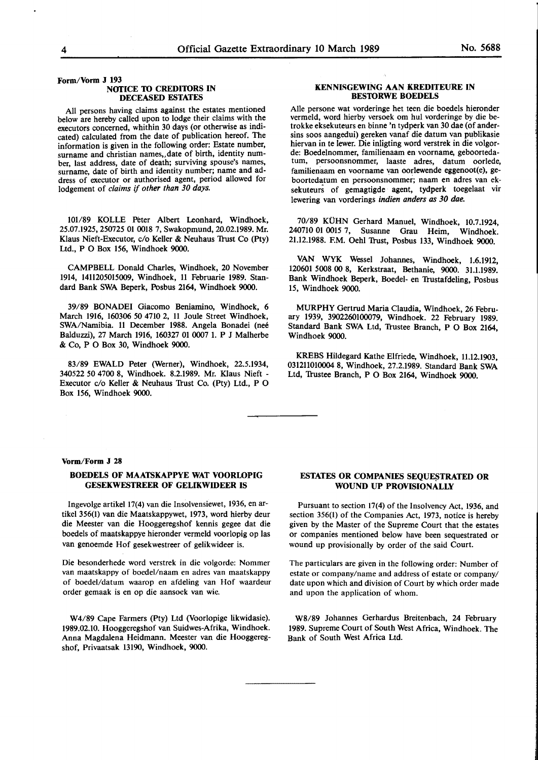**Form/Vorm J 193** 

#### **NOTICE TO CREDITORS IN DECEASED ESTATES**

All persons having claims against the estates mentioned below are hereby called upon to lodge their claims with the executors concerned, whithin 30 days (or otherwise as indicated) calculated from the date of publication hereof. The information is given in the following order: Estate number, surname and christian names,,date of birth, identity number, last address, date of death; surviving spouse's names, surname, date of birth and identity number; name and address of executor or authorised agent, period allowed for lodgement of *claims* if *other than 30 days.* 

101/89 KOLLE Peter Albert Leonhard, Windhoek, 25.07.1925, 250725 01 0018 7, Swakopmund, 20.02.1989. Mr. Klaus Nieft-Executor,  $c/o$  Keller & Neuhaus Trust Co (Pty) Ltd., P O Box 156, Windhoek 9000.

CAMPBELL Donald Charles, Windhoek, 20 November 1914, 1411205015009, Windhoek, 11 Februarie 1989. Standard Bank SWA Beperk, Posbus 2164, Windhoek 9000.

39/89 BONADEI Giacomo Beniamino, Windhoek, 6 March 1916, 160306 *50* 4710 2, 11 Joule Street Windhoek, SWA/Namibia. 11 December 1988. Angela Bonadei (neé Balduzzi), 27 March 1916, 160327 01 0007 1. P J Malherbe & Co, P O Box 30, Windhoek 9000.

83/89 EWALD Peter (Werner), Windhoek, 22.5.1934, 340522 *50* 4700 8, Windhoek. 8.2.1989. Mr. Klaus Nieft - Executor c/o Keller & Neuhaus Trust Co. (Pty) Ltd., P O Box 156, Windhoek 9000.

#### **KENNISGEWING AAN KREDITEURE IN BESIDRWE BOEDELS**

Alie persone wat vorderinge bet teen die boedels hieronder vermeld, word hierby versoek om hul vorderinge by die betrokke eksekuteurs en binne 'n tydperk van 30 dae (of andersins soos aangedui) gereken vanaf die datum van publikasie hiervan in te Iewer. Die inligting word verstrek in die volgorde: Boedelnommer, familienaam en voorname, geboortedatum, persoonsnommer, laaste adres, datum oorlede, familienaam en voorname van oorlewende eggenoot(e), geboortedatum en persoonsnommer; naam en adres van eksekuteurs of gemagtigde agent, tydperk toegelaat vir Iewering van vorderings *indien anders as 30 dae.* 

70/89 KÜHN Gerhard Manuel, Windhoek, 10.7.1924, 240710 01 0015 7, Susanne Grau Heim, Windhoek. 21.12.1988. F.M. Oehl Trust, Posbus 133, Windhoek 9000.

**VAN WYK** Wessel Johannes, Windhoek, 1.6.1912, 120601 5008 00 8, Kerkstraat, Bethanie, 9000. 31.1.1989. Bank Windhoek Beperk, Boedel- en Trustafdeling, Posbus 15, Windhoek 9000.

MURPHY Gertrud Maria Claudia, Windhoek, 26 February 1939, 3902260100079, Windhoek. 22 February 1989. Standard Bank SWA Ltd, Trustee Branch, P O Box 2164, Windhoek 9000.

KREBS Hildegard Kathe Elfriede, Windhoek, 11.12.1903, 031211010004 8, Windhoek, 27.2.1989. Standard Bank SWA Ltd, Trustee Branch, P O Box 2164, Windhoek 9000.

#### **Vorm/Form J 28**

#### **BOEDELS OF MAATSKAPPYE WAT VOORLOPIG GESEKWESTREER OF GELIKWIDEER IS**

lngevolge artikel 17(4) van die lnsolvensiewet, 1936, en artikel 356(1) van die Maatskappywet, 1973, word hierby deur die Meester van die Hooggeregshof kennis gegee dat die boedels of maatskappye hieronder vermeld voorlopig op las van genoemde Hof gesekwestreer of gelikwideer is.

Die besonderhede word verstrek in die volgorde: Nommer van maatskappy of boedel/naam en adres van maatskappy of boedel/datum waarop en afdeling van Hof waardeur order gemaak is en op die aansoek van wie.

W4/89 Cape Farmers (Pty) Ltd (Voorlopige likwidasie). 1989.02.10. Hooggeregshof van Suidwes-Afrika, Windhoek. Anna Magdalena Heidmann. Meester van die Hooggeregshof, Privaatsak 13190, Windhoek, 9000.

#### **ESTATES OR COMPANIES SEQUESTRATED OR WOUND UP PROVISIONALLY**

Pursuant to section 17(4) of the Insolvency Act, 1936, and section 356(1) of the Companies Act, 1973, notice is hereby given by the Master of the Supreme Court that the estates or companies mentioned below have been sequestrated or wound up provisionally by order of the said Court.

The particulars are given in the following order: Number of estate or company/name and address of estate or company/ date upon which and division of Court by which order made and upon the application of whom.

WS/89 Johannes Gerhardus Breitenbach, 24 February 1989. Supreme Court of South West Africa, Windhoek. The Bank of South West Africa Ltd.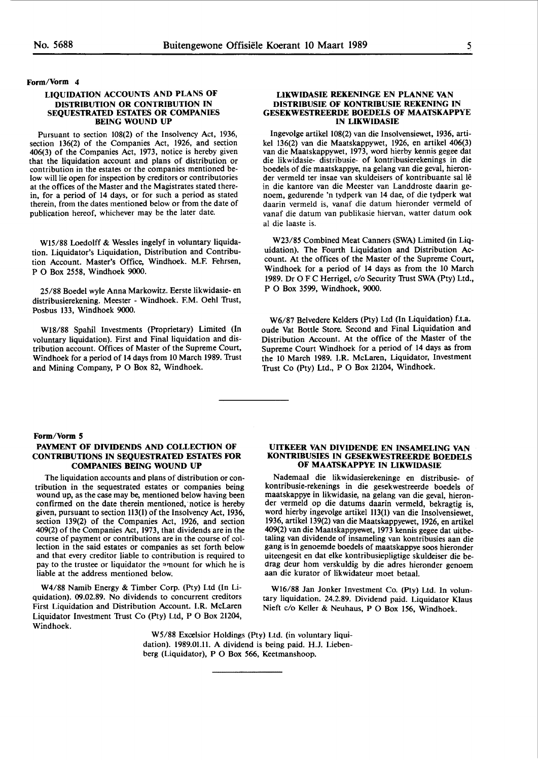#### **Form/Vonn** 4

#### **LIQUIDATION ACCOUNTS AND PLANS OF DISTRIBUTION OR CONTRIBUTION IN SEQUESTRATED ESTATES OR COMPANIES BEING WOUND UP**

Pursuant to section 108(2) of the Insolvency Act, 1936, section 136(2) of the Companies Act, 1926, and section 406(3) of the Companies Act, 1973, notice is hereby given that the liquidation account and plans of distribution or contribution in the estates or the companies mentioned below will lie open for inspection by creditors or contributories at the offices of the Master and the Magistrates stated therein, for a period of 14 days, or for such a period as stated therein, from the dates mentioned below or from the date of publication hereof, whichever may be the later date.

Wl5/88 Loedolff & Wessles ingelyf in voluntary liquidation. Liquidator's Liquidation, Distribution and Contribution Account. Master's Office, Windhoek. M.F. Fehrsen, P O Box 2558, Windhoek 9000.

25/88 Boedel wyle Anna Markowitz. Eerste Iikwidasie- en distribusierekening. Meester - Windhoek. F.M. Oehl Trust, Posbus 133, Windhoek 9000.

Wl8/88 Spahil Investments (Proprietary) Limited (In voluntary liquidation). First and Final liquidation and distribution account. Offices of Master of the Supreme Court, Windhoek for a period of 14 days from 10 March 1989. Trust and Mining Company, P O Box 82, Windhoek.

#### **LIKWIDASIE REKENINGE EN PLANNE VAN DISTRIBUSIE OF KONTRIBUSIE REKENING IN GESEKWESTREERDE BOEDELS OF MAATSKAPPYE IN LIKWIDASIE**

lngevolge artikel 108(2) van die Insolvensiewet, 1936, artikel 136(2) van die Maatskappywet, 1926, en artikel 406(3) van die Maatskappywet, 1973, word hierby kennis gegee dat die likwidasie- distribusie- of kontribusierekenings in die boedels of die maatskappye, na gelang van die geval, hieronder vermeld ter insae van skuldeisers of kontribuante sal lê in die kantore van die Meester van Landdroste daarin genoem, gedurende 'n tydperk van 14 dae, of die tydperk wat daarin vermeld is, vanaf die datum hieronder vermeld of vanaf die datum van publikasie hiervan, watter datum ook al die Iaaste is.

W23/85 Combined Meat Canners (SWA) Limited (in Liquidation). The Fourth Liquidation and Distribution Account. At the offices of the Master of the Supreme Court, Windhoek for a period of 14 days as from the 10 March 1989. Dr O F C Herrigel, c/o Security Trust SWA (Pty) Ltd., P O Box 3599, Windhoek, 9000.

W6/87 Belvedere Kelders (Pty) Ltd (In Liquidation) f.t.a. oude Vat Bottle Store. Second and Final Liquidation and Distribution Account. At the office of the Master of the Supreme Court Windhoek for a period of 14 days as from the 10 March 1989. I.R. McLaren, Liquidator, Investment 'frust Co (Pty) Ltd., P O Box 21204, Windhoek.

#### Form/Vorm 5

#### **PAYMENT OF DIVIDENDS AND COLLECTION OF CONTRIBUTIONS IN SEQUESTRATED ESTATES FOR COMPANIES BEING WOUND UP**

The liquidation accounts and plans of distribution or contribution in the sequestrated estates or companies being wound up, as the case may be, mentioned below having been confirmed on the date therein mentioned, notice is hereby given, pursuant to section 113(1) of the Insolvency Act, 1936, section 139(2) of the Companies Act, 1926, and section 409(2) of the Companies Act, 1973, that dividends are in the course of payment or contributions are in the course of collection in the said estates or companies as set forth below and that every creditor liable to contribution is required to pay to the trustee or liquidator the amount for which he is liable at the address mentioned below.

W4/88 Namib Energy & Timber Corp. (Pty) Ltd (In Liquidation). 09.02.89. No dividends to concurrent creditors First Liquidation and Distribution Account. I.R. McLaren Liquidator Investment 'frust Co (Pty) Ltd, P O Box 21204, Windhoek.

#### **UITKEER VAN DIVIDENDE EN INSAMELING VAN KONTRIBUSIES IN GESEKWESTREERDE BOEDELS OF MAATSKAPPYE IN LIKWIDASIE**

Nademaal die likwidasierekeninge en distribusie- of kontribusie-rekenings in die gesekwestreerde boedels of maatskappye in likwidasie, na gelang van die geval, hieronder vermeld op die datums daarin vermeld, bekragtig is, word hierby ingevolge artikel 113(1) van die Insolvensiewet, 1936, artikel 139(2) van die Maatskappyewet, 1926, en artikel 409(2) van die Maatskappyewet, 1973 kennis gegee dat uitbetaling van dividende of insameling van kontribusies aan die gang is in genoemde boedels of maatskappye soos hieronder uiteengesit en dat elke kontribusiepligtige skuldeiser die bedrag deur hom verskuldig by die adres hieronder genoem aan die kurator of likwidateur moet betaal.

Wl6/88 Jan Jonker Investment Co. (Pty) Ltd. In voluntary liquidation. 24.2.89. Dividend paid. Liquidator Klaus Nieft c/o Keller & Neuhaus, P O Box 156, Windhoek.

WS/88 Excelsior Holdings (Pty) Ltd. (in voluntary liquidation). 1989.01.11. A dividend is being paid. H.J. Liebenberg (Liquidator), P O Box 566, Keetmanshoop.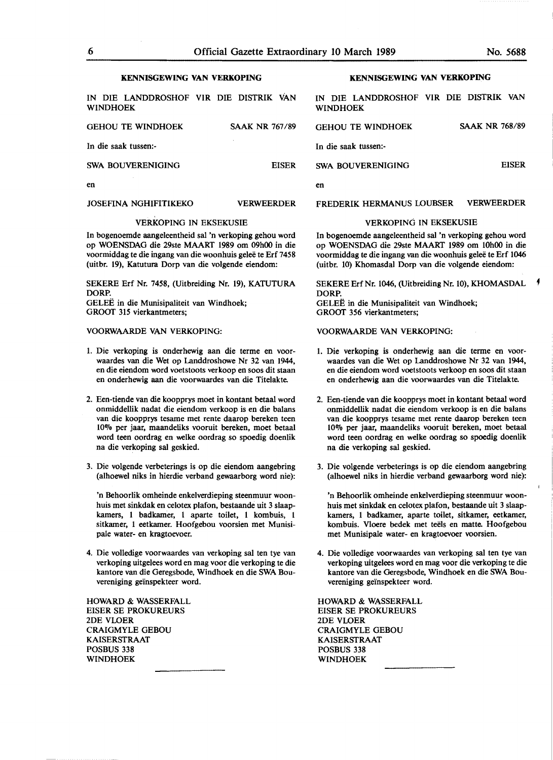#### **KENNISGEWING VAN VERKOPING**

IN DIE LANDDROSHOF VIR DIE DISTRIK VAN WINDHOEK

| <b>GEHOU TE WINDHOEK</b> | <b>SAAK NR 767/89</b> |
|--------------------------|-----------------------|
| In die saak tussen:-     |                       |
| SWA BOUVERENIGING        | <b>FISER</b>          |
| en                       |                       |

#### JOSEFINA NGHIFITIKEKO VERWEERDER

#### VERKOPING IN EKSEKUSIE

In bogenoemde aangeleentheid sal 'n verkoping gehou word op WOENSDAG die 29ste MAART 1989 om 09h00 in die voormiddag te die ingang van die woonhuis gelee te Erf 7458 (uitbr. 19), Katutura Dorp van die volgende eiendom:

SEKERE Erf Nr. 7458, (Uitbreiding Nr. 19), KATUTURA DORP. GELEE in die Munisipaliteit van Windhoek; GROOT 315 vierkantmeters;

#### VOORWAARDE VAN VERKOPING:

- 1. Die verkoping is onderhewig aan die terme en voorwaardes van die Wet op Landdroshowe Nr 32 van 1944, en die eiendom word voetstoots verkoop en soos dit staan en onderhewig aan die voorwaardes van die Titelakte.
- 2. Een-tiende van die koopprys moet in kontant betaal word onmiddellik nadat die eiendom verkoop is en die balans van die koopprys tesame met rente daarop bereken teen 10% per jaar, maandeliks vooruit bereken, moet betaal word teen oordrag en welke oordrag so spoedig doenlik na die verkoping sal geskied.
- 3. Die volgende verbeterings is op die eiendom aangebring (alhoewel niks in hierdie verband gewaarborg word nie):

'n Behoorlik omheinde enkelverdieping steenmuur woonhuis met sinkdak en celotex plafon, bestaande uit 3 slaapkamers, 1 badkamer, 1 aparte toilet, 1 kombuis, 1 sitkamer, 1 eetkamer. Hoofgebou voorsien met Munisipale water- en kragtoevoer.

4. Die volledige voorwaardes van verkoping sal ten tye van verkoping uitgelees word en mag voor die verkoping te die kantore van die Geregsbode, Windhoek en die SWA Bouvereniging geïnspekteer word.

HOWARD & WASSERFALL EISER SE PROKUREURS 2DE VLOER CRAIGMYLE GEBOU KAISERSTRAAT POSBUS 338 WINDHOEK

#### **KENNISGEWING VAN VERKOPING**

IN DIE LANDDROSHOF VIR DIE DISTRIK VAN WINDHOEK

| <b>GEHOU TE WINDHOEK</b> | <b>SAAK NR 768/89</b> |
|--------------------------|-----------------------|
| In die saak tussen:-     |                       |
| SWA BOUVERENIGING        | <b>FISER</b>          |
|                          |                       |

en

FREDERIK HERMANUS LOUBSER VERWEERDER

#### VERKOPING IN EKSEKUSIE

In bogenoemde aangeleentheid sal 'n verkoping gehou word op WOENSDAG die 29ste MAART 1989 om 10h00 in die voormiddag te die ingang van die woonhuis gelee te Erf 1046 (uitbr. 10) Khomasdal Dorp van die volgende eiendom:

SEKERE Erf Nr. 1046, (Uitbreiding Nr. 10), KHOMASDAL DORP. GELEE in die Munisipaliteit van Windhoek; GROOT 356 vierkantmeters;

VOORWAARDE VAN VERKOPING:

- 1. Die verkoping is onderhewig aan die terme en voorwaardes van die Wet op Landdroshowe Nr 32 van 1944, en die eiendom word voetstoots verkoop en soos dit staan en onderhewig aan die voorwaardes van die Titelakte.
- 2. Een-tiende van die koopprys moet in kontant betaal word onmiddellik nadat die eiendom verkoop is en die balans van die koopprys tesame met rente daarop bereken teen 10% per jaar, maandeliks vooruit bereken, moet betaal word teen oordrag en welke oordrag so spoedig doenlik na die verkoping sal geskied.
- 3. Die volgende verbeterings is op die eiendom aangebring (alhoewel niks in hierdie verband gewaarborg word nie):

'n Behoorlik omheinde enkelverdieping steenmuur woonhuis met sinkdak en celotex plafon, bestaande uit 3 slaapkamers, 1 badkamer, aparte toilet, sitkamer, eetkamer, kombuis. Vloere bedek met teëls en matte. Hoofgebou met Munisipale water- en kragtoevoer voorsien.

4. Die volledige voorwaardes van verkoping sal ten tye van verkoping uitgelees word en mag voor die verkoping te die kantore van die Geregsbode, Windhoek en die SWA Bouvereniging geïnspekteer word.

HOWARD & WASSERFALL EISER SE PROKUREURS 2DE VLOER CRAIGMYLE GEBOU KAISERSTRAAT POSBUS 338 WINDHOEK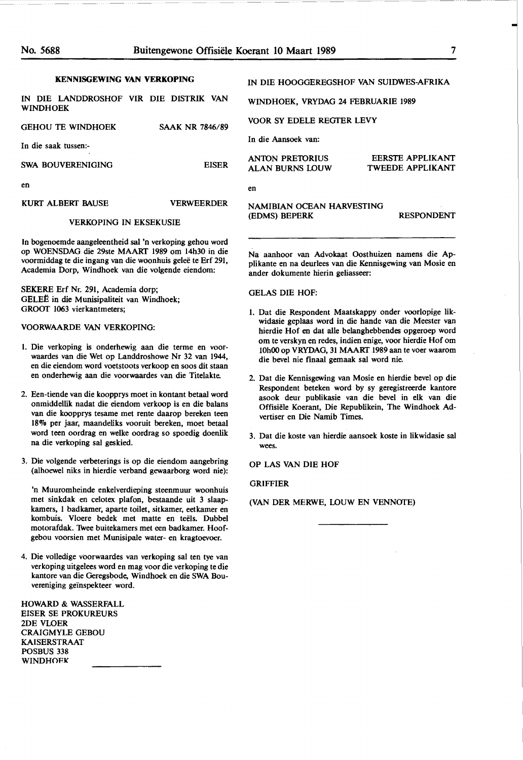#### **KENNISGEWING VAN VERKOPING**

| IN DIE LANDDROSHOF VIR DIE DISTRIK VAN<br><b>WINDHOEK</b> |                        |
|-----------------------------------------------------------|------------------------|
| <b>GEHOU TE WINDHOEK</b>                                  | <b>SAAK NR 7846/89</b> |
| In die saak tussen:-                                      |                        |

SWA BOUVERENIGING EISER

en

KURT ALBERT RAUSE VERWEERDER

#### VERKOPING IN EKSEKUSIE

In bogenoemde aangeleentheid sal 'n verkoping gehou word op WOENSDAG die 29ste MAARf 1989 om 14h30 in die voormiddag te die ingang van die woonhuis gelee te Erf 291, Academia Dorp, Windhoek van die volgende eiendom:

SEKERE Erf Nr. 291, Academia dorp; GELEE in die Munisipaliteit van Windhoek; GROOT 1063 vierkantmeters;

VOORWAARDE VAN VERKOPING:

- 1. Die verkoping is onderhewig aan die terme en voorwaardes van die Wet op Landdroshowe Nr 32 van 1944, en die eiendom word voetstoots verkoop en soos dit staan en onderhewig aan die voorwaardes van die Titelakte.
- 2. Een-tiende van die koopprys moet in kontant betaal word onmiddellik nadat die eiendom verkoop is en die balans van die koopprys tesame met rente daarop bereken teen 18"7o per jaar, maandeliks vooruit bereken, moet betaal word teen oordrag en welke oordrag so spoedig doenlik na die verkoping sal geskied.
- 3. Die volgende verbeterings is op die eiendom aangebring (alhoewel niks in hierdie verband gewaarborg word nie):

'n Muuromheinde enkelverdieping steenmuur woonhuis met sinkdak en celotex plafon, bestaande uit 3 slaapkamers, 1 badkamer, aparte toilet, sitkamer, eetkamer en kombuis. Vloere bedek met matte en teels. Dubbel motorafdak. Twee buitekamers met een badkamer. Hoofgebou voorsien met Munisipale water- en kragtoevoer.

4. Die volledige voorwaardes van verkoping sal ten tye van verkoping uitgelees word en mag voor die verkoping te die kantore van die Geregsbode, Windhoek en die SWA Bouvereniging geïnspekteer word.

HOWARD & WASSERFALL EISER SE PROKUREURS 2DE VLOER CRAIGMYLE GEBOU KAISERSTRAAT POSBUS 338 **WINDHOFK** 

### IN DIE HOOGGEREGSHOF **VAN SUIDWES-AFRIKA**

WINDHOEK, VRYDAG 24 FEBRUARIE 1989

VOOR SY EDELE REGTER LEVY

In die Aansoek van:

en

ANTON PRETORIUS ALAN BURNS LOUW

ander dokumente hierin geliasseer:

EERSTE APPLIKANT TWEEDE APPLIKANT

#### **NAMIBIAN** OCEAN HARVESTING (EDMS) BEPERK RESPONDENT

Na aanhoor van Advokaat Oosthuizen namens die Applikante en na deurlees van die Kennisgewing van Mosie en

GELAS DIE HOF:

- 1. Dat die Respondent Maatskappy onder voorlopige likwidasie geplaas word in die hande van die Meester van hierdie Hof en dat alle belanghebbendes opgeroep word om te verskyn en redes, indien enige, voor hierdie Hof om 10h00 op **VRYDAG,** 31 MAART 1989 aan te voer waarom die bevel nie finaal gemaak sal word nie.
- 2. Dat die Kennisgewing van Mosie en hierdie bevel op die Respondent beteken word by sy geregistreerde kantore asook deur publikasie van die bevel in elk van die Offisiele Koerant, Die Republikein, The Windhoek Advertiser en Die Namib Times.
- 3. Dat die koste van hierdie aansoek koste in likwidasie sal wees.

OP LAS VAN DIE HOF

GRIFFIER

(VAN DER MERWE, LOUW EN VENNOfE)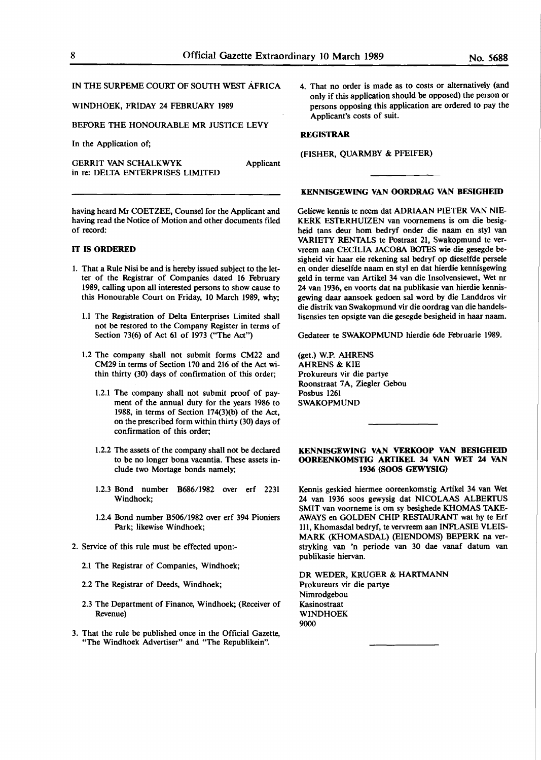### IN THE SURPEME COURT OF SOUTH WEST AFRICA

#### WINDHOEK, FRIDAY 24 FEBRUARY 1989

BEFORE THE HONOURABLE **MR** JUSTICE LEVY

In the Application of;

GERRIT VAN SCHALKWYK Applicant in re: DELTA ENTERPRISES LIMITED

having heard Mr COETZEE, Counsel for the Applicant and having read the Notice of Motion and other documents filed of record:

#### IT **IS ORDERED**

- I. That a Rule Nisi be and is hereby issued subject to the letter of the Registrar of Companies dated 16 February 1989, calling upon all interested persons to show cause to this Honourable Court on Friday, 10 March 1989, why;
	- 1.1 The Registration of Delta Enterprises Limited shall not be restored to the Company Register in terms of Section 73(6) **of** Act **61** of 1973 ("The Act")
	- 1.2 The company shall not submit forms CM22 and CM29 in terms of Section 170 and 216 of the Act within thirty (30) days of confirmation of this order;
		- 1.2.1 The company shall not submit proof of payment of the annual duty for the years 1986 to 1988, in terms of Section 174(3)(b) of the Act, **on** the prescribed form within thirty (30) days of confirmation of this order;
		- 1.2.2 The assets of the company shall not be declared to be no longer bona vacantia. These assets include two Mortage bonds namely;
		- 1.2.3 Bond number B686/1982 over erf 2231 Windhoek;
		- 1.2.4 Bond number B506/1982 over erf 394 Pioniers Park; likewise Windhoek;
- 2. Service of this rule must be effected upon:-
	- 2.1 **The** Registrar of Companies, Windhoek;
	- 2.2 **The** Registrar of Deeds, Windhoek;
	- 2.3 The Department of Finance, Windhoek; (Receiver of Revenue)
- 3. That the rule be published once in the Official Gazette, "The Windhoek Advertiser" and "The Republikein".

4. That no order is made as to costs or alternatively (and only if this application should **be** opposed) the person or persons opposing this application are ordered to pay the Applicant's costs of suit.

#### **REGISTRAR**

#### (FISHER, QUARMBY & PFEIFER)

#### **KENNISGEWING VAN OORDRAG VAN BESIGHEID**

Geliewe kennis te neem dat ADRIAAN PIETER VAN NIE-KERK ESTERHUIZEN van voomemens is om die besigheid tans deur hom bedryf onder die naam en styl van VARIETY RENTALS te Postraat 21, Swakopmund te vervreem aan CECILIA JACOBA BOTES wie die gesegde besigheid vir haar eie rekening sal bedryf op dieselfde persele en onder dieselfde naam en styl en dat hierdie kennisgewing geld in terme van Artikel 34 van die Insolvensiewet, Wet nr 24 van 1936, en voorts dat na publikasie van hierdie kennisgewing daar aansoek gedoen sal word by die Landdros vir die distrik van Swakopmund vir die oordrag van die handelslisensies ten opsigte van die gesegde besigheid in haar naam.

Gedateer te SWAKOPMUND hierdie 6de Februarie 1989.

(get.) W.P. AHRENS AHRENS & KIE Prokureurs vir die partye Roonstraat 7A, Ziegler Gebou Posbus 1261 SWAKOPMUND

#### **KENNISGEWING VAN VERKOOP VAN BESIGHEID OOREENKOMSTIG ARTIKEL 34 VAN WET 24 VAN 1936 (SOOS GEWYSIG)**

Kennis geskied hiermee ooreenkomstig Artikel 34 van Wet 24 van 1936 soos gewysig dat NICOLAAS ALBERTUS SMIT van voorneme is om sy besighede KHOMAS TAKE-AWAYS en GOLDEN CHIP RESTAURANT wat hy te Erf lll, Khomasdal bedryf, te vervreem aan INFLASIE VLEIS-MARK (KHOMASDAL) (EIENDOMS) BEPERK na verstryking van 'n periode van 30 dae vanaf datum van publikasie hiervan.

DR WEDER, KRUGER & **HARTMANN**  Prokureurs vir die partye Nimrodgebou Kasinostraat WINDHOEK 9000